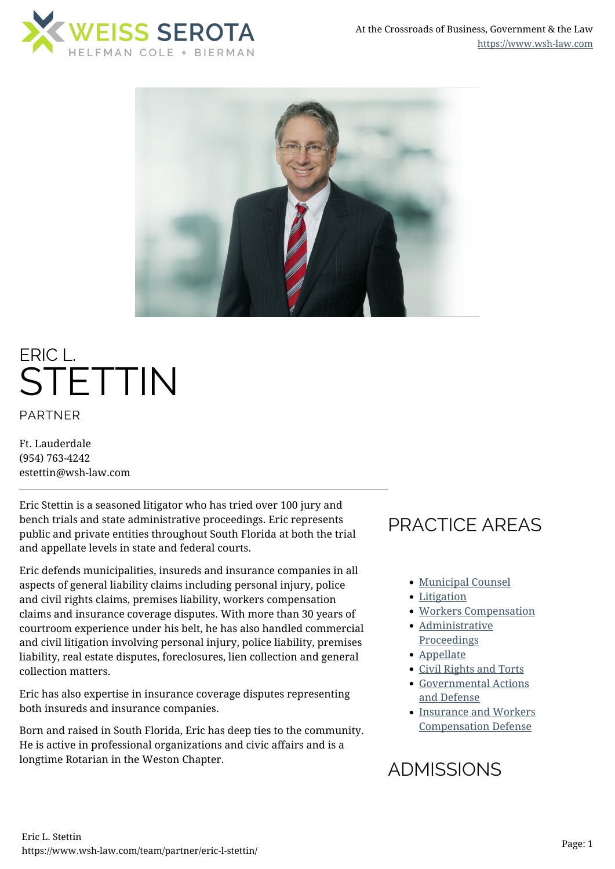



# ERIC L. **STETTIN** PARTNER

Ft. Lauderdale (954) 763-4242 estettin@wsh-law.com

Eric Stettin is a seasoned litigator who has tried over 100 jury and bench trials and state administrative proceedings. Eric represents public and private entities throughout South Florida at both the trial and appellate levels in state and federal courts.

Eric defends municipalities, insureds and insurance companies in all aspects of general liability claims including personal injury, police and civil rights claims, premises liability, workers compensation claims and insurance coverage disputes. With more than 30 years of courtroom experience under his belt, he has also handled commercial and civil litigation involving personal injury, police liability, premises liability, real estate disputes, foreclosures, lien collection and general collection matters.

Eric has also expertise in insurance coverage disputes representing both insureds and insurance companies.

Born and raised in South Florida, Eric has deep ties to the community. He is active in professional organizations and civic affairs and is a longtime Rotarian in the Weston Chapter.

## PRACTICE AREAS

- [Municipal Counsel](https://www.wsh-law.com/practices/government/municipal-counsel/)
- [Litigation](https://www.wsh-law.com/practices/labor-and-employment/litigation/)
- [Workers Compensation](https://www.wsh-law.com/practices/labor-and-employment/workers-compensation/)
- [Administrative](https://www.wsh-law.com/practices/litigation/administrative-proceedings/) [Proceedings](https://www.wsh-law.com/practices/litigation/administrative-proceedings/)
- [Appellate](https://www.wsh-law.com/practices/litigation/appellate/)
- [Civil Rights and Torts](https://www.wsh-law.com/practices/litigation/civil-rights-and-torts/)
- [Governmental Actions](https://www.wsh-law.com/practices/litigation/governmental-actions-and-defense/) [and Defense](https://www.wsh-law.com/practices/litigation/governmental-actions-and-defense/)
- [Insurance and Workers](https://www.wsh-law.com/practices/litigation/insurance-and-workers-compensation-defense/) [Compensation Defense](https://www.wsh-law.com/practices/litigation/insurance-and-workers-compensation-defense/)

## ADMISSIONS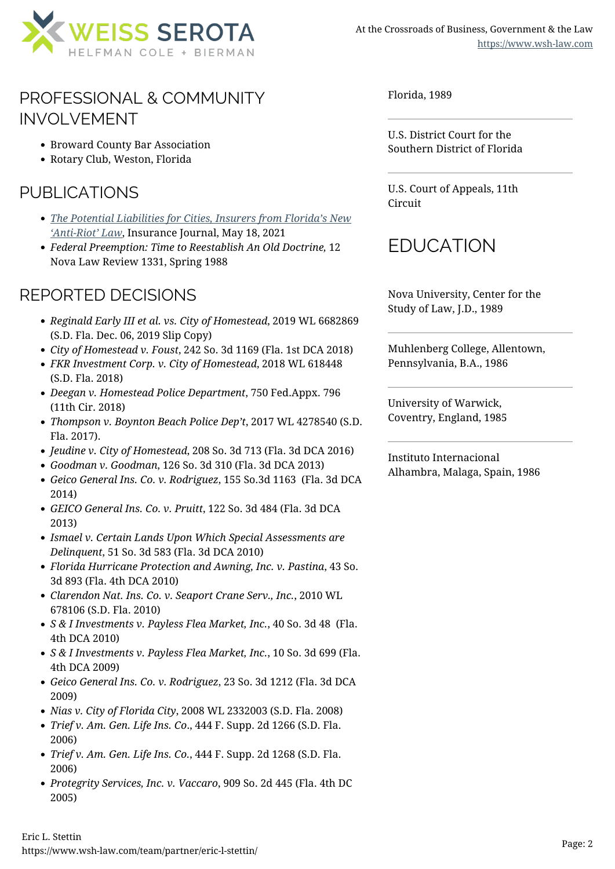

### PROFESSIONAL & COMMUNITY INVOLVEMENT

- Broward County Bar Association
- Rotary Club, Weston, Florida

#### PUBLICATIONS

- *[The Potential Liabilities for Cities, Insurers from Florida's New](https://www.insurancejournal.com/news/southeast/2021/05/18/613916.htm) ['Anti-Riot' Law](https://www.insurancejournal.com/news/southeast/2021/05/18/613916.htm)*, Insurance Journal, May 18, 2021
- *Federal Preemption: Time to Reestablish An Old Doctrine,* 12 Nova Law Review 1331, Spring 1988

#### REPORTED DECISIONS

- *Reginald Early III et al. vs. City of Homestead*, 2019 WL 6682869 (S.D. Fla. Dec. 06, 2019 Slip Copy)
- *City of Homestead v. Foust*, 242 So. 3d 1169 (Fla. 1st DCA 2018)
- *FKR Investment Corp. v. City of Homestead*, 2018 WL 618448 (S.D. Fla. 2018)
- *Deegan v. Homestead Police Department*, 750 Fed.Appx. 796 (11th Cir. 2018)
- *Thompson v. Boynton Beach Police Dep't*, 2017 WL 4278540 (S.D. Fla. 2017).
- *Jeudine v. City of Homestead*, 208 So. 3d 713 (Fla. 3d DCA 2016)
- *Goodman v. Goodman*, 126 So. 3d 310 (Fla. 3d DCA 2013)
- *Geico General Ins. Co. v. Rodriguez*, 155 So.3d 1163 (Fla. 3d DCA 2014)
- *GEICO General Ins. Co. v. Pruitt*, 122 So. 3d 484 (Fla. 3d DCA 2013)
- *Ismael v. Certain Lands Upon Which Special Assessments are Delinquent*, 51 So. 3d 583 (Fla. 3d DCA 2010)
- *Florida Hurricane Protection and Awning, Inc. v. Pastina*, 43 So. 3d 893 (Fla. 4th DCA 2010)
- *Clarendon Nat. Ins. Co. v. Seaport Crane Serv., Inc.*, 2010 WL 678106 (S.D. Fla. 2010)
- *S & I Investments v. Payless Flea Market, Inc.*, 40 So. 3d 48 (Fla. 4th DCA 2010)
- *S & I Investments v. Payless Flea Market, Inc.*, 10 So. 3d 699 (Fla. 4th DCA 2009)
- *Geico General Ins. Co. v. Rodriguez*, 23 So. 3d 1212 (Fla. 3d DCA 2009)
- *Nias v. City of Florida City*, 2008 WL 2332003 (S.D. Fla. 2008)
- *Trief v. Am. Gen. Life Ins. Co*., 444 F. Supp. 2d 1266 (S.D. Fla. 2006)
- *Trief v. Am. Gen. Life Ins. Co.*, 444 F. Supp. 2d 1268 (S.D. Fla. 2006)
- *Protegrity Services, Inc. v. Vaccaro*, 909 So. 2d 445 (Fla. 4th DC 2005)

U.S. District Court for the Southern District of Florida

U.S. Court of Appeals, 11th Circuit

## EDUCATION

Nova University, Center for the Study of Law, J.D., 1989

Muhlenberg College, Allentown, Pennsylvania, B.A., 1986

University of Warwick, Coventry, England, 1985

Instituto Internacional Alhambra, Malaga, Spain, 1986